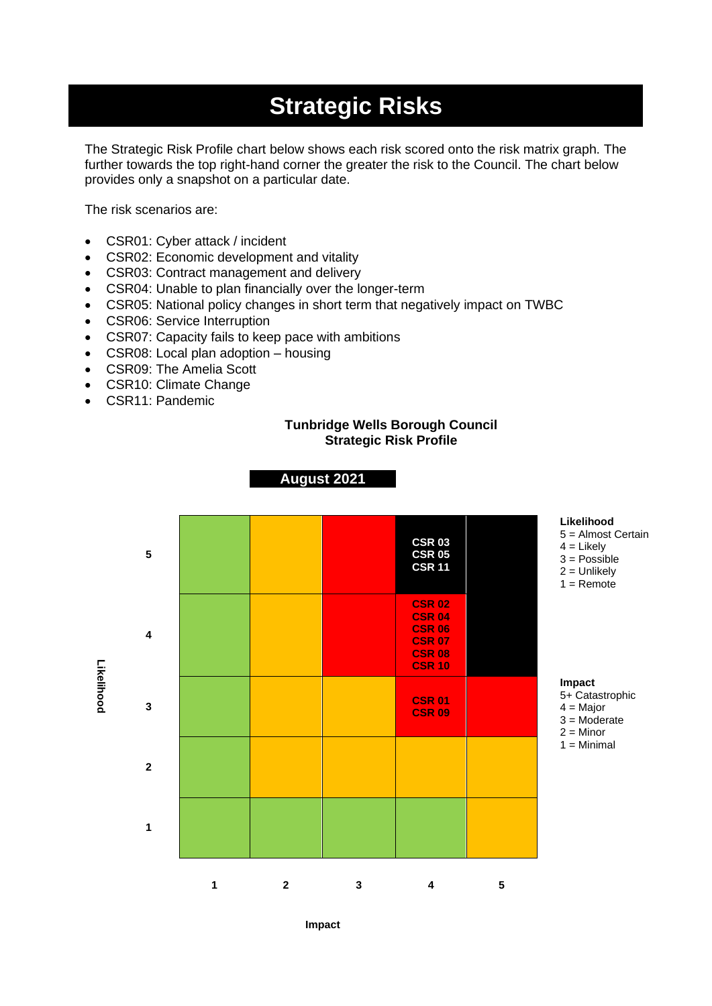# **Strategic Risks**

The Strategic Risk Profile chart below shows each risk scored onto the risk matrix graph. The further towards the top right-hand corner the greater the risk to the Council. The chart below provides only a snapshot on a particular date.

The risk scenarios are:

- CSR01: Cyber attack / incident
- CSR02: Economic development and vitality
- CSR03: Contract management and delivery
- CSR04: Unable to plan financially over the longer-term
- CSR05: National policy changes in short term that negatively impact on TWBC

**August 2021**

- CSR06: Service Interruption
- CSR07: Capacity fails to keep pace with ambitions
- CSR08: Local plan adoption housing
- CSR09: The Amelia Scott
- CSR10: Climate Change
- CSR11: Pandemic

#### **Tunbridge Wells Borough Council Strategic Risk Profile**



**Impact**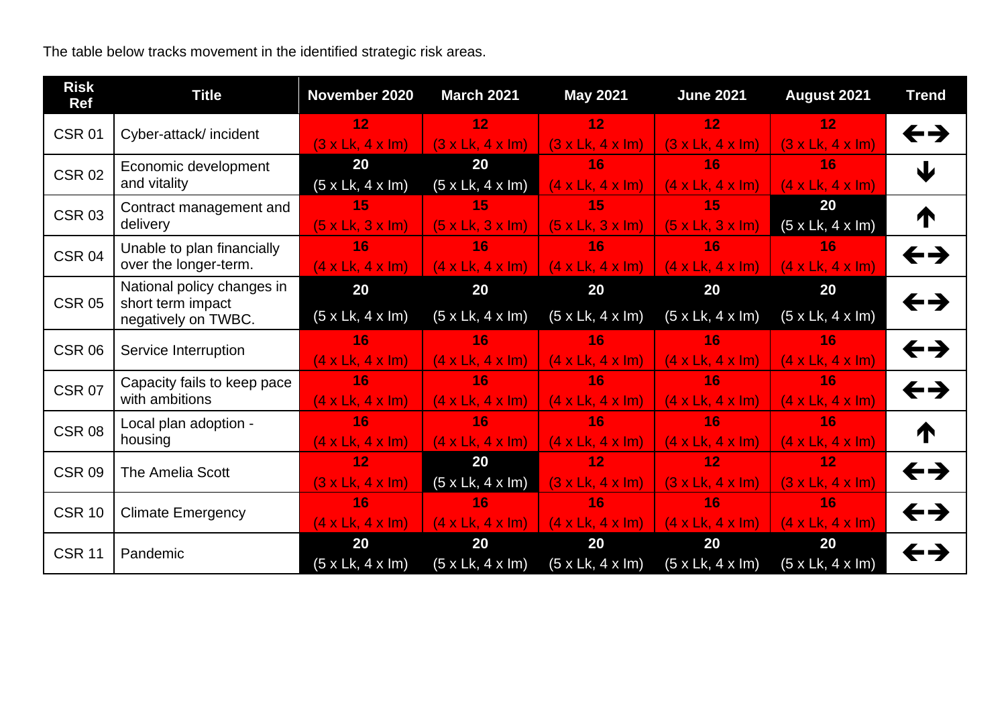The table below tracks movement in the identified strategic risk areas.

| <b>Risk</b><br><b>Ref</b> | <b>Title</b>                                                           | November 2020                      | <b>March 2021</b>                  | <b>May 2021</b>                    | <b>June 2021</b>                   | August 2021                         | <b>Trend</b>               |
|---------------------------|------------------------------------------------------------------------|------------------------------------|------------------------------------|------------------------------------|------------------------------------|-------------------------------------|----------------------------|
| <b>CSR 01</b>             | Cyber-attack/incident                                                  | 12<br>(3 x Lk, 4 x Im)             | 12<br>(3 x Lk, 4 x Im)             | 12<br>(3 x Lk, 4 x Im)             | 12<br>(3 x Lk, 4 x Im)             | 12 <sub>1</sub><br>(3 x Lk, 4 x Im) | $\leftrightarrow$          |
| <b>CSR 02</b>             | Economic development<br>and vitality                                   | 20<br>$(5 \times Lk, 4 \times lm)$ | 20<br>$(5 \times Lk, 4 \times Im)$ | 16<br>$(4 \times Lk, 4 \times lm)$ | 16<br>$(4 \times Lk, 4 \times lm)$ | 16<br>$(4 \times Lk, 4 \times lm)$  | $\mathbf{L}$               |
| <b>CSR 03</b>             | Contract management and<br>delivery                                    | 15<br>$(5 \times Lk, 3 \times lm)$ | 15<br>$(5 \times Lk, 3 \times lm)$ | 15<br>$(5 \times Lk, 3 \times lm)$ | 15<br>(5 x Lk, 3 x Im)             | 20<br>(5 x Lk, 4 x Im)              | ↑                          |
| <b>CSR 04</b>             | Unable to plan financially<br>over the longer-term.                    | 16<br>$(4 \times Lk, 4 \times lm)$ | 16<br>$(4 \times Lk, 4 \times lm)$ | 16<br>$(4 \times Lk, 4 \times lm)$ | 16<br>$(4 \times Lk, 4 \times lm)$ | 16<br>$(4 \times Lk, 4 \times lm)$  | $\leftrightarrow$          |
| <b>CSR 05</b>             | National policy changes in<br>short term impact<br>negatively on TWBC. | 20<br>(5 x Lk, 4 x Im)             | 20<br>$(5 \times Lk, 4 \times Im)$ | 20<br>(5 x Lk, 4 x Im)             | 20<br>(5 x Lk, 4 x Im)             | 20<br>(5 x Lk, 4 x Im)              | $\leftrightarrow$          |
| <b>CSR 06</b>             | Service Interruption                                                   | 16<br>$(4 \times Lk, 4 \times lm)$ | 16<br>$(4 \times Lk, 4 \times lm)$ | 16<br>$(4 \times Lk, 4 \times lm)$ | 16<br>(4 x Lk, 4 x Im)             | 16<br>$(4 \times Lk, 4 \times Im)$  | $\leftrightarrow$          |
| <b>CSR 07</b>             | Capacity fails to keep pace<br>with ambitions                          | 16<br>$(4 \times Lk, 4 \times lm)$ | 16<br>$(4 \times Lk, 4 \times lm)$ | 16<br>$(4 \times Lk, 4 \times lm)$ | 16<br>$(4 \times Lk, 4 \times Im)$ | 16<br>$(4 \times Lk, 4 \times lm)$  | $\leftrightarrow$          |
| <b>CSR 08</b>             | Local plan adoption -<br>housing                                       | 16<br>$(4 \times Lk, 4 \times lm)$ | 16<br>$(4 \times Lk, 4 \times lm)$ | 16<br>$(4 \times Lk, 4 \times lm)$ | 16<br>$(4 \times Lk, 4 \times Im)$ | 16<br>$(4 \times Lk, 4 \times Im)$  | ↑                          |
| <b>CSR 09</b>             | The Amelia Scott                                                       | 12<br>(3 x Lk, 4 x Im)             | 20<br>$(5 \times Lk, 4 \times lm)$ | 12<br>(3 x Lk, 4 x Im)             | 12<br>(3 x Lk, 4 x Im)             | 12<br>(3 x Lk, 4 x Im)              | $\leftrightarrow$          |
| <b>CSR 10</b>             | <b>Climate Emergency</b>                                               | 16<br>$(4 \times Lk, 4 \times lm)$ | 16<br>$(4 \times Lk, 4 \times lm)$ | 16<br>$(4 \times Lk, 4 \times lm)$ | 16<br>$(4 \times Lk, 4 \times lm)$ | 16<br>$(4 \times Lk, 4 \times lm)$  | $\leftrightarrow$          |
| <b>CSR 11</b>             | Pandemic                                                               | 20<br>$(5 \times Lk, 4 \times Im)$ | 20<br>$(5 \times Lk, 4 \times Im)$ | 20<br>(5 x Lk, 4 x Im)             | 20<br>(5 x Lk, 4 x Im)             | 20<br>$(5 \times Lk, 4 \times lm)$  | $\leftarrow$ $\rightarrow$ |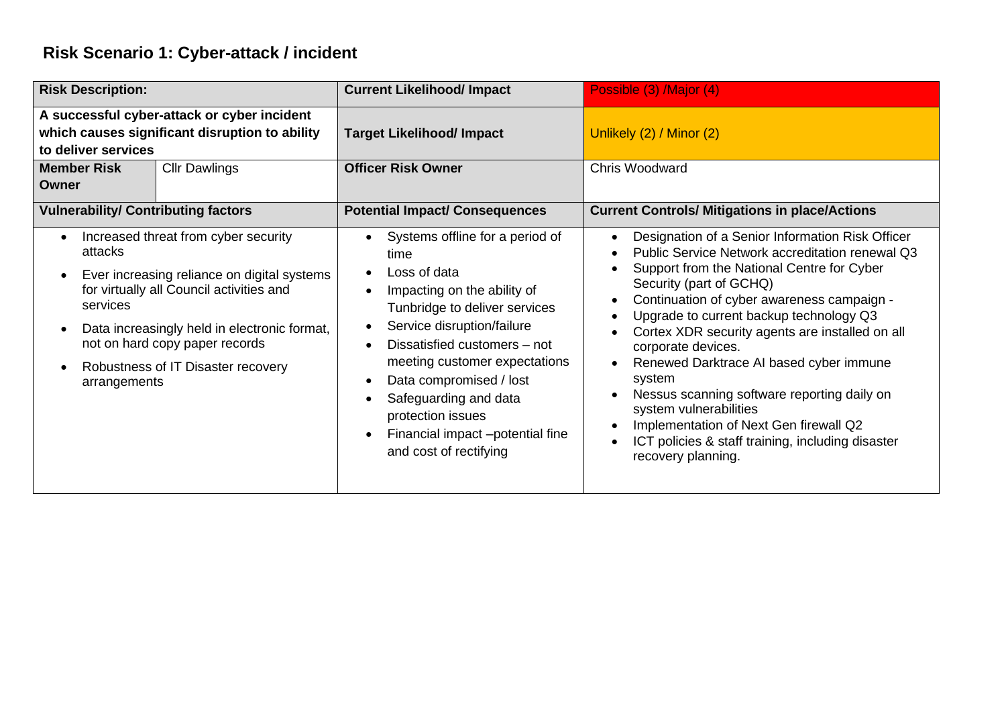# **Risk Scenario 1: Cyber-attack / incident**

| <b>Risk Description:</b>                                                                                             |                                                                                                                                                                                                                                                         | <b>Current Likelihood/ Impact</b>                                                                                                                                                                                                                                                                                                                                          | Possible (3) /Major (4)                                                                                                                                                                                                                                                                                                                                                                                                                                                                                                                                                                           |
|----------------------------------------------------------------------------------------------------------------------|---------------------------------------------------------------------------------------------------------------------------------------------------------------------------------------------------------------------------------------------------------|----------------------------------------------------------------------------------------------------------------------------------------------------------------------------------------------------------------------------------------------------------------------------------------------------------------------------------------------------------------------------|---------------------------------------------------------------------------------------------------------------------------------------------------------------------------------------------------------------------------------------------------------------------------------------------------------------------------------------------------------------------------------------------------------------------------------------------------------------------------------------------------------------------------------------------------------------------------------------------------|
| A successful cyber-attack or cyber incident<br>which causes significant disruption to ability<br>to deliver services |                                                                                                                                                                                                                                                         | <b>Target Likelihood/ Impact</b>                                                                                                                                                                                                                                                                                                                                           | Unlikely (2) / Minor (2)                                                                                                                                                                                                                                                                                                                                                                                                                                                                                                                                                                          |
| <b>Member Risk</b><br><b>Cllr Dawlings</b><br><b>Owner</b>                                                           |                                                                                                                                                                                                                                                         | <b>Officer Risk Owner</b>                                                                                                                                                                                                                                                                                                                                                  | <b>Chris Woodward</b>                                                                                                                                                                                                                                                                                                                                                                                                                                                                                                                                                                             |
| <b>Vulnerability/ Contributing factors</b>                                                                           |                                                                                                                                                                                                                                                         | <b>Potential Impact/ Consequences</b>                                                                                                                                                                                                                                                                                                                                      | <b>Current Controls/ Mitigations in place/Actions</b>                                                                                                                                                                                                                                                                                                                                                                                                                                                                                                                                             |
| $\bullet$<br>attacks<br>$\bullet$<br>services<br>$\bullet$<br>$\bullet$<br>arrangements                              | Increased threat from cyber security<br>Ever increasing reliance on digital systems<br>for virtually all Council activities and<br>Data increasingly held in electronic format,<br>not on hard copy paper records<br>Robustness of IT Disaster recovery | Systems offline for a period of<br>time<br>Loss of data<br>Impacting on the ability of<br>Tunbridge to deliver services<br>Service disruption/failure<br>Dissatisfied customers - not<br>meeting customer expectations<br>Data compromised / lost<br>Safeguarding and data<br>protection issues<br>Financial impact -potential fine<br>$\bullet$<br>and cost of rectifying | Designation of a Senior Information Risk Officer<br>Public Service Network accreditation renewal Q3<br>Support from the National Centre for Cyber<br>Security (part of GCHQ)<br>Continuation of cyber awareness campaign -<br>Upgrade to current backup technology Q3<br>Cortex XDR security agents are installed on all<br>corporate devices.<br>Renewed Darktrace AI based cyber immune<br>system<br>Nessus scanning software reporting daily on<br>system vulnerabilities<br>Implementation of Next Gen firewall Q2<br>ICT policies & staff training, including disaster<br>recovery planning. |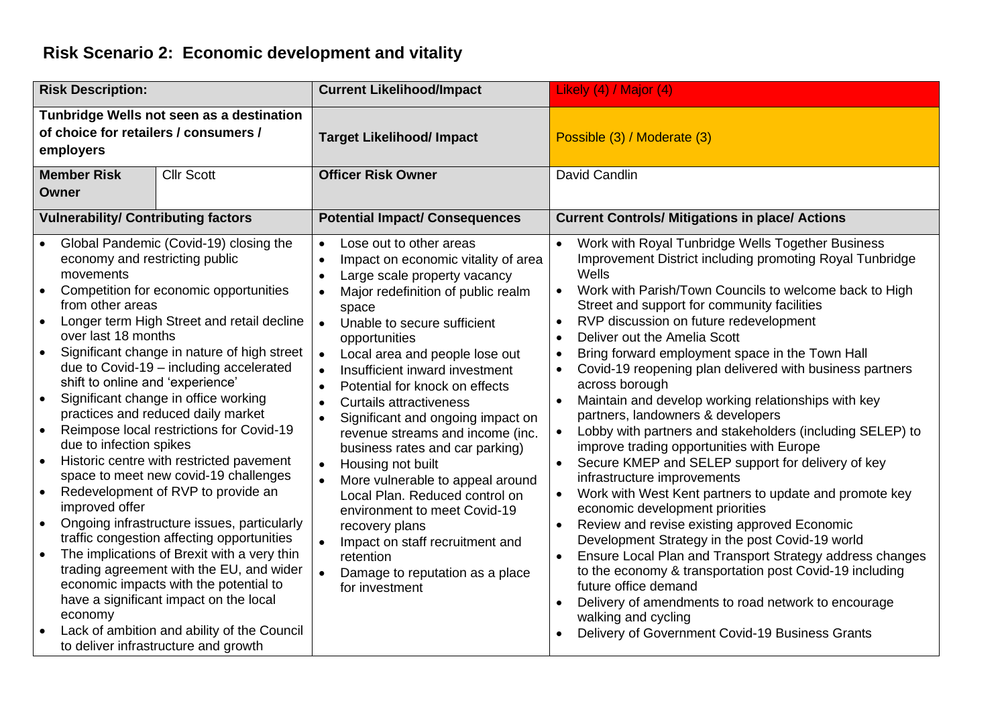### **Risk Scenario 2: Economic development and vitality**

| <b>Risk Description:</b>                                                                                                                                                                                                                                                                                                                                                                                                                                                                                                                                                                                                                                                                                                                                                                                                                                                                                                                                                                                                                                                                   | <b>Current Likelihood/Impact</b>                                                                                                                                                                                                                                                                                                                                                                                                                                                                                                                                                                                                                                                                                                                                                                                                                   | Likely (4) / Major (4)                                                                                                                                                                                                                                                                                                                                                                                                                                                                                                                                                                                                                                                                                                                                                                                                                                                                                                                                                                                                                                                                                                                                                                                                                                                   |
|--------------------------------------------------------------------------------------------------------------------------------------------------------------------------------------------------------------------------------------------------------------------------------------------------------------------------------------------------------------------------------------------------------------------------------------------------------------------------------------------------------------------------------------------------------------------------------------------------------------------------------------------------------------------------------------------------------------------------------------------------------------------------------------------------------------------------------------------------------------------------------------------------------------------------------------------------------------------------------------------------------------------------------------------------------------------------------------------|----------------------------------------------------------------------------------------------------------------------------------------------------------------------------------------------------------------------------------------------------------------------------------------------------------------------------------------------------------------------------------------------------------------------------------------------------------------------------------------------------------------------------------------------------------------------------------------------------------------------------------------------------------------------------------------------------------------------------------------------------------------------------------------------------------------------------------------------------|--------------------------------------------------------------------------------------------------------------------------------------------------------------------------------------------------------------------------------------------------------------------------------------------------------------------------------------------------------------------------------------------------------------------------------------------------------------------------------------------------------------------------------------------------------------------------------------------------------------------------------------------------------------------------------------------------------------------------------------------------------------------------------------------------------------------------------------------------------------------------------------------------------------------------------------------------------------------------------------------------------------------------------------------------------------------------------------------------------------------------------------------------------------------------------------------------------------------------------------------------------------------------|
| Tunbridge Wells not seen as a destination<br>of choice for retailers / consumers /<br>employers                                                                                                                                                                                                                                                                                                                                                                                                                                                                                                                                                                                                                                                                                                                                                                                                                                                                                                                                                                                            | <b>Target Likelihood/ Impact</b>                                                                                                                                                                                                                                                                                                                                                                                                                                                                                                                                                                                                                                                                                                                                                                                                                   | Possible (3) / Moderate (3)                                                                                                                                                                                                                                                                                                                                                                                                                                                                                                                                                                                                                                                                                                                                                                                                                                                                                                                                                                                                                                                                                                                                                                                                                                              |
| <b>Member Risk</b><br><b>Cllr Scott</b><br>Owner                                                                                                                                                                                                                                                                                                                                                                                                                                                                                                                                                                                                                                                                                                                                                                                                                                                                                                                                                                                                                                           | <b>Officer Risk Owner</b>                                                                                                                                                                                                                                                                                                                                                                                                                                                                                                                                                                                                                                                                                                                                                                                                                          | David Candlin                                                                                                                                                                                                                                                                                                                                                                                                                                                                                                                                                                                                                                                                                                                                                                                                                                                                                                                                                                                                                                                                                                                                                                                                                                                            |
| <b>Vulnerability/ Contributing factors</b>                                                                                                                                                                                                                                                                                                                                                                                                                                                                                                                                                                                                                                                                                                                                                                                                                                                                                                                                                                                                                                                 | <b>Potential Impact/ Consequences</b>                                                                                                                                                                                                                                                                                                                                                                                                                                                                                                                                                                                                                                                                                                                                                                                                              | <b>Current Controls/ Mitigations in place/ Actions</b>                                                                                                                                                                                                                                                                                                                                                                                                                                                                                                                                                                                                                                                                                                                                                                                                                                                                                                                                                                                                                                                                                                                                                                                                                   |
| Global Pandemic (Covid-19) closing the<br>economy and restricting public<br>movements<br>Competition for economic opportunities<br>$\bullet$<br>from other areas<br>Longer term High Street and retail decline<br>$\bullet$<br>over last 18 months<br>Significant change in nature of high street<br>$\bullet$<br>due to Covid-19 - including accelerated<br>shift to online and 'experience'<br>Significant change in office working<br>$\bullet$<br>practices and reduced daily market<br>Reimpose local restrictions for Covid-19<br>due to infection spikes<br>Historic centre with restricted pavement<br>space to meet new covid-19 challenges<br>Redevelopment of RVP to provide an<br>improved offer<br>Ongoing infrastructure issues, particularly<br>traffic congestion affecting opportunities<br>The implications of Brexit with a very thin<br>trading agreement with the EU, and wider<br>economic impacts with the potential to<br>have a significant impact on the local<br>economy<br>Lack of ambition and ability of the Council<br>to deliver infrastructure and growth | Lose out to other areas<br>$\bullet$<br>Impact on economic vitality of area<br>$\bullet$<br>Large scale property vacancy<br>$\bullet$<br>Major redefinition of public realm<br>$\bullet$<br>space<br>Unable to secure sufficient<br>$\bullet$<br>opportunities<br>Local area and people lose out<br>$\bullet$<br>Insufficient inward investment<br>$\bullet$<br>Potential for knock on effects<br>$\bullet$<br><b>Curtails attractiveness</b><br>$\bullet$<br>Significant and ongoing impact on<br>$\bullet$<br>revenue streams and income (inc.<br>business rates and car parking)<br>Housing not built<br>$\bullet$<br>More vulnerable to appeal around<br>Local Plan. Reduced control on<br>environment to meet Covid-19<br>recovery plans<br>Impact on staff recruitment and<br>retention<br>Damage to reputation as a place<br>for investment | Work with Royal Tunbridge Wells Together Business<br>Improvement District including promoting Royal Tunbridge<br>Wells<br>Work with Parish/Town Councils to welcome back to High<br>$\bullet$<br>Street and support for community facilities<br>RVP discussion on future redevelopment<br>$\bullet$<br>Deliver out the Amelia Scott<br>$\bullet$<br>Bring forward employment space in the Town Hall<br>$\bullet$<br>Covid-19 reopening plan delivered with business partners<br>across borough<br>Maintain and develop working relationships with key<br>partners, landowners & developers<br>Lobby with partners and stakeholders (including SELEP) to<br>improve trading opportunities with Europe<br>Secure KMEP and SELEP support for delivery of key<br>infrastructure improvements<br>Work with West Kent partners to update and promote key<br>economic development priorities<br>Review and revise existing approved Economic<br>Development Strategy in the post Covid-19 world<br>Ensure Local Plan and Transport Strategy address changes<br>to the economy & transportation post Covid-19 including<br>future office demand<br>Delivery of amendments to road network to encourage<br>walking and cycling<br>Delivery of Government Covid-19 Business Grants |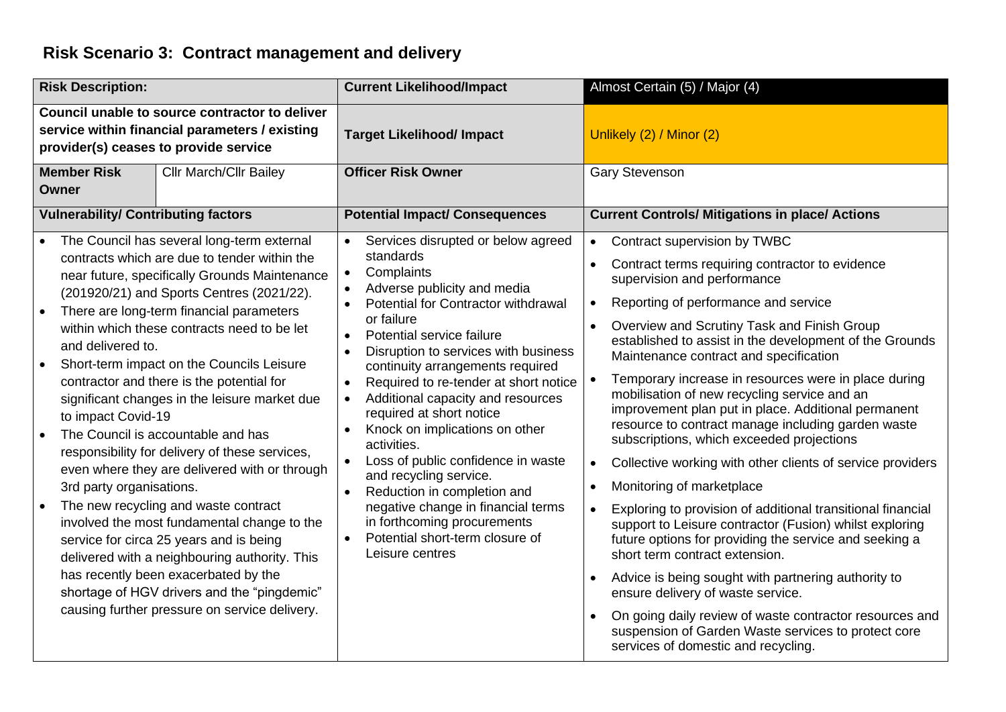### **Risk Scenario 3: Contract management and delivery**

| <b>Risk Description:</b>                                                                                                                                                                                                                                                                                                                                                                                                                                                                                                                                                                                                                                                                                                                                                                                                                                                                                                                                                  | <b>Current Likelihood/Impact</b>                                                                                                                                                                                                                                                                                                                                                                                                                                                                                                                                                                                                                                                                                              | Almost Certain (5) / Major (4)                                                                                                                                                                                                                                                                                                                                                                                                                                                                                                                                                                                                                                                                                                                                                                                                                                                                                                                                                                                                                                                                                                                                                                                                   |
|---------------------------------------------------------------------------------------------------------------------------------------------------------------------------------------------------------------------------------------------------------------------------------------------------------------------------------------------------------------------------------------------------------------------------------------------------------------------------------------------------------------------------------------------------------------------------------------------------------------------------------------------------------------------------------------------------------------------------------------------------------------------------------------------------------------------------------------------------------------------------------------------------------------------------------------------------------------------------|-------------------------------------------------------------------------------------------------------------------------------------------------------------------------------------------------------------------------------------------------------------------------------------------------------------------------------------------------------------------------------------------------------------------------------------------------------------------------------------------------------------------------------------------------------------------------------------------------------------------------------------------------------------------------------------------------------------------------------|----------------------------------------------------------------------------------------------------------------------------------------------------------------------------------------------------------------------------------------------------------------------------------------------------------------------------------------------------------------------------------------------------------------------------------------------------------------------------------------------------------------------------------------------------------------------------------------------------------------------------------------------------------------------------------------------------------------------------------------------------------------------------------------------------------------------------------------------------------------------------------------------------------------------------------------------------------------------------------------------------------------------------------------------------------------------------------------------------------------------------------------------------------------------------------------------------------------------------------|
| Council unable to source contractor to deliver<br>service within financial parameters / existing<br>provider(s) ceases to provide service                                                                                                                                                                                                                                                                                                                                                                                                                                                                                                                                                                                                                                                                                                                                                                                                                                 | <b>Target Likelihood/ Impact</b>                                                                                                                                                                                                                                                                                                                                                                                                                                                                                                                                                                                                                                                                                              | Unlikely (2) / Minor (2)                                                                                                                                                                                                                                                                                                                                                                                                                                                                                                                                                                                                                                                                                                                                                                                                                                                                                                                                                                                                                                                                                                                                                                                                         |
| <b>Member Risk</b><br><b>Cllr March/Cllr Bailey</b><br>Owner                                                                                                                                                                                                                                                                                                                                                                                                                                                                                                                                                                                                                                                                                                                                                                                                                                                                                                              | <b>Officer Risk Owner</b>                                                                                                                                                                                                                                                                                                                                                                                                                                                                                                                                                                                                                                                                                                     | <b>Gary Stevenson</b>                                                                                                                                                                                                                                                                                                                                                                                                                                                                                                                                                                                                                                                                                                                                                                                                                                                                                                                                                                                                                                                                                                                                                                                                            |
| <b>Vulnerability/ Contributing factors</b>                                                                                                                                                                                                                                                                                                                                                                                                                                                                                                                                                                                                                                                                                                                                                                                                                                                                                                                                | <b>Potential Impact/ Consequences</b>                                                                                                                                                                                                                                                                                                                                                                                                                                                                                                                                                                                                                                                                                         | <b>Current Controls/ Mitigations in place/ Actions</b>                                                                                                                                                                                                                                                                                                                                                                                                                                                                                                                                                                                                                                                                                                                                                                                                                                                                                                                                                                                                                                                                                                                                                                           |
| The Council has several long-term external<br>contracts which are due to tender within the<br>near future, specifically Grounds Maintenance<br>(201920/21) and Sports Centres (2021/22).<br>There are long-term financial parameters<br>within which these contracts need to be let<br>and delivered to.<br>Short-term impact on the Councils Leisure<br>contractor and there is the potential for<br>significant changes in the leisure market due<br>to impact Covid-19<br>The Council is accountable and has<br>responsibility for delivery of these services,<br>even where they are delivered with or through<br>3rd party organisations.<br>The new recycling and waste contract<br>involved the most fundamental change to the<br>service for circa 25 years and is being<br>delivered with a neighbouring authority. This<br>has recently been exacerbated by the<br>shortage of HGV drivers and the "pingdemic"<br>causing further pressure on service delivery. | Services disrupted or below agreed<br>standards<br>Complaints<br>$\bullet$<br>Adverse publicity and media<br>Potential for Contractor withdrawal<br>or failure<br>Potential service failure<br>Disruption to services with business<br>$\bullet$<br>continuity arrangements required<br>Required to re-tender at short notice<br>$\bullet$<br>Additional capacity and resources<br>$\bullet$<br>required at short notice<br>Knock on implications on other<br>$\bullet$<br>activities.<br>Loss of public confidence in waste<br>and recycling service.<br>Reduction in completion and<br>$\bullet$<br>negative change in financial terms<br>in forthcoming procurements<br>Potential short-term closure of<br>Leisure centres | Contract supervision by TWBC<br>$\bullet$<br>Contract terms requiring contractor to evidence<br>$\bullet$<br>supervision and performance<br>Reporting of performance and service<br>$\bullet$<br>Overview and Scrutiny Task and Finish Group<br>established to assist in the development of the Grounds<br>Maintenance contract and specification<br>Temporary increase in resources were in place during<br>mobilisation of new recycling service and an<br>improvement plan put in place. Additional permanent<br>resource to contract manage including garden waste<br>subscriptions, which exceeded projections<br>Collective working with other clients of service providers<br>$\bullet$<br>Monitoring of marketplace<br>$\bullet$<br>Exploring to provision of additional transitional financial<br>$\bullet$<br>support to Leisure contractor (Fusion) whilst exploring<br>future options for providing the service and seeking a<br>short term contract extension.<br>Advice is being sought with partnering authority to<br>ensure delivery of waste service.<br>On going daily review of waste contractor resources and<br>suspension of Garden Waste services to protect core<br>services of domestic and recycling. |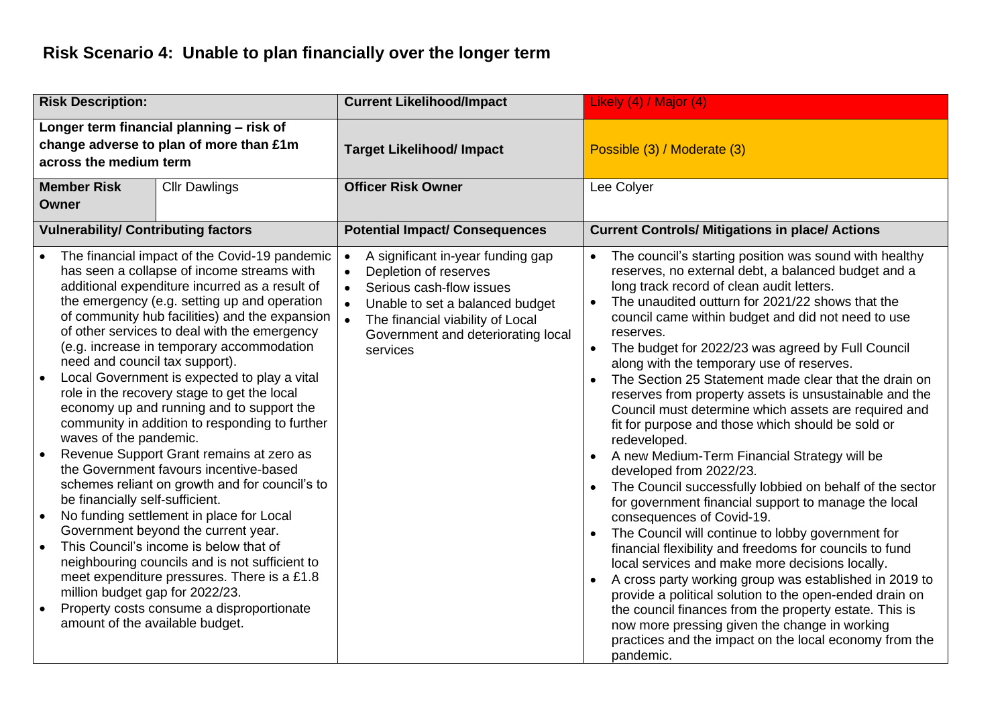## **Risk Scenario 4: Unable to plan financially over the longer term**

| <b>Risk Description:</b>                                                                                                                                                                                                                                                                                                                                                                                                                                                                                                                                                                                                                                                                                                                                                                                                                                                                                                                                                                                                                                                                                                                                                                            | <b>Current Likelihood/Impact</b>                                                                                                                                                                                                                       | Likely (4) / Major (4)                                                                                                                                                                                                                                                                                                                                                                                                                                                                                                                                                                                                                                                                                                                                                                                                                                                                                                                                                                                                                                                                                                                                                                                                                                                                                                                                                                                                               |
|-----------------------------------------------------------------------------------------------------------------------------------------------------------------------------------------------------------------------------------------------------------------------------------------------------------------------------------------------------------------------------------------------------------------------------------------------------------------------------------------------------------------------------------------------------------------------------------------------------------------------------------------------------------------------------------------------------------------------------------------------------------------------------------------------------------------------------------------------------------------------------------------------------------------------------------------------------------------------------------------------------------------------------------------------------------------------------------------------------------------------------------------------------------------------------------------------------|--------------------------------------------------------------------------------------------------------------------------------------------------------------------------------------------------------------------------------------------------------|--------------------------------------------------------------------------------------------------------------------------------------------------------------------------------------------------------------------------------------------------------------------------------------------------------------------------------------------------------------------------------------------------------------------------------------------------------------------------------------------------------------------------------------------------------------------------------------------------------------------------------------------------------------------------------------------------------------------------------------------------------------------------------------------------------------------------------------------------------------------------------------------------------------------------------------------------------------------------------------------------------------------------------------------------------------------------------------------------------------------------------------------------------------------------------------------------------------------------------------------------------------------------------------------------------------------------------------------------------------------------------------------------------------------------------------|
| Longer term financial planning - risk of<br>change adverse to plan of more than £1m<br>across the medium term                                                                                                                                                                                                                                                                                                                                                                                                                                                                                                                                                                                                                                                                                                                                                                                                                                                                                                                                                                                                                                                                                       | <b>Target Likelihood/ Impact</b>                                                                                                                                                                                                                       | Possible (3) / Moderate (3)                                                                                                                                                                                                                                                                                                                                                                                                                                                                                                                                                                                                                                                                                                                                                                                                                                                                                                                                                                                                                                                                                                                                                                                                                                                                                                                                                                                                          |
| <b>Member Risk</b><br><b>Cllr Dawlings</b><br><b>Owner</b>                                                                                                                                                                                                                                                                                                                                                                                                                                                                                                                                                                                                                                                                                                                                                                                                                                                                                                                                                                                                                                                                                                                                          | <b>Officer Risk Owner</b>                                                                                                                                                                                                                              | Lee Colyer                                                                                                                                                                                                                                                                                                                                                                                                                                                                                                                                                                                                                                                                                                                                                                                                                                                                                                                                                                                                                                                                                                                                                                                                                                                                                                                                                                                                                           |
| <b>Vulnerability/ Contributing factors</b>                                                                                                                                                                                                                                                                                                                                                                                                                                                                                                                                                                                                                                                                                                                                                                                                                                                                                                                                                                                                                                                                                                                                                          | <b>Potential Impact/ Consequences</b>                                                                                                                                                                                                                  | <b>Current Controls/ Mitigations in place/ Actions</b>                                                                                                                                                                                                                                                                                                                                                                                                                                                                                                                                                                                                                                                                                                                                                                                                                                                                                                                                                                                                                                                                                                                                                                                                                                                                                                                                                                               |
| The financial impact of the Covid-19 pandemic<br>has seen a collapse of income streams with<br>additional expenditure incurred as a result of<br>the emergency (e.g. setting up and operation<br>of community hub facilities) and the expansion<br>of other services to deal with the emergency<br>(e.g. increase in temporary accommodation<br>need and council tax support).<br>Local Government is expected to play a vital<br>$\bullet$<br>role in the recovery stage to get the local<br>economy up and running and to support the<br>community in addition to responding to further<br>waves of the pandemic.<br>Revenue Support Grant remains at zero as<br>$\bullet$<br>the Government favours incentive-based<br>schemes reliant on growth and for council's to<br>be financially self-sufficient.<br>No funding settlement in place for Local<br>$\bullet$<br>Government beyond the current year.<br>This Council's income is below that of<br>$\bullet$<br>neighbouring councils and is not sufficient to<br>meet expenditure pressures. There is a £1.8<br>million budget gap for 2022/23.<br>Property costs consume a disproportionate<br>$\bullet$<br>amount of the available budget. | A significant in-year funding gap<br>Depletion of reserves<br>$\bullet$<br>Serious cash-flow issues<br>$\bullet$<br>Unable to set a balanced budget<br>$\bullet$<br>The financial viability of Local<br>Government and deteriorating local<br>services | The council's starting position was sound with healthy<br>$\bullet$<br>reserves, no external debt, a balanced budget and a<br>long track record of clean audit letters.<br>The unaudited outturn for 2021/22 shows that the<br>$\bullet$<br>council came within budget and did not need to use<br>reserves.<br>The budget for 2022/23 was agreed by Full Council<br>$\bullet$<br>along with the temporary use of reserves.<br>The Section 25 Statement made clear that the drain on<br>$\bullet$<br>reserves from property assets is unsustainable and the<br>Council must determine which assets are required and<br>fit for purpose and those which should be sold or<br>redeveloped.<br>A new Medium-Term Financial Strategy will be<br>$\bullet$<br>developed from 2022/23.<br>The Council successfully lobbied on behalf of the sector<br>$\bullet$<br>for government financial support to manage the local<br>consequences of Covid-19.<br>The Council will continue to lobby government for<br>$\bullet$<br>financial flexibility and freedoms for councils to fund<br>local services and make more decisions locally.<br>A cross party working group was established in 2019 to<br>provide a political solution to the open-ended drain on<br>the council finances from the property estate. This is<br>now more pressing given the change in working<br>practices and the impact on the local economy from the<br>pandemic. |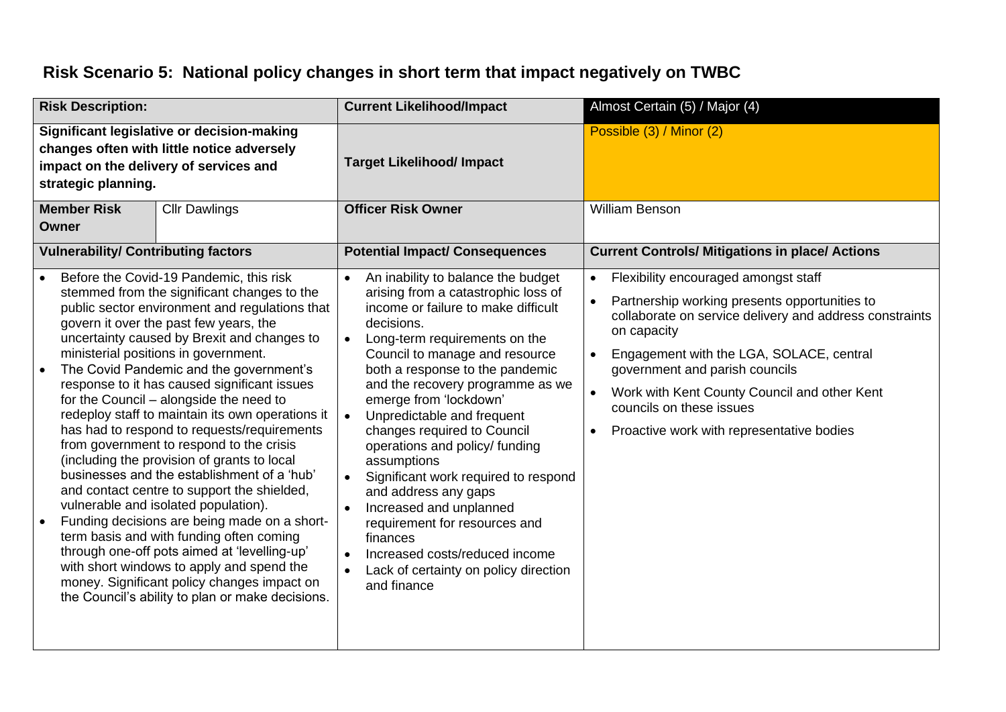### **Risk Scenario 5: National policy changes in short term that impact negatively on TWBC**

| <b>Risk Description:</b>                                                                                                                                  |                                            | <b>Current Likelihood/Impact</b>                                                                                                                                                                                                                                                                                                                                                                                                                                                                                                                                                                                                                                                                                                                                                                                                                                                                                                                                                                                                                |                                     | Almost Certain (5) / Major (4)                                                                                                                                                                                                                                                                                                                                                                                                                                                                                                                                                                                                                     |                                                  |                                                                                                                                                                                                                                                                                                                                                                        |
|-----------------------------------------------------------------------------------------------------------------------------------------------------------|--------------------------------------------|-------------------------------------------------------------------------------------------------------------------------------------------------------------------------------------------------------------------------------------------------------------------------------------------------------------------------------------------------------------------------------------------------------------------------------------------------------------------------------------------------------------------------------------------------------------------------------------------------------------------------------------------------------------------------------------------------------------------------------------------------------------------------------------------------------------------------------------------------------------------------------------------------------------------------------------------------------------------------------------------------------------------------------------------------|-------------------------------------|----------------------------------------------------------------------------------------------------------------------------------------------------------------------------------------------------------------------------------------------------------------------------------------------------------------------------------------------------------------------------------------------------------------------------------------------------------------------------------------------------------------------------------------------------------------------------------------------------------------------------------------------------|--------------------------------------------------|------------------------------------------------------------------------------------------------------------------------------------------------------------------------------------------------------------------------------------------------------------------------------------------------------------------------------------------------------------------------|
| Significant legislative or decision-making<br>changes often with little notice adversely<br>impact on the delivery of services and<br>strategic planning. |                                            |                                                                                                                                                                                                                                                                                                                                                                                                                                                                                                                                                                                                                                                                                                                                                                                                                                                                                                                                                                                                                                                 | <b>Target Likelihood/ Impact</b>    |                                                                                                                                                                                                                                                                                                                                                                                                                                                                                                                                                                                                                                                    | Possible (3) / Minor (2)                         |                                                                                                                                                                                                                                                                                                                                                                        |
|                                                                                                                                                           | <b>Member Risk</b><br><b>Owner</b>         | <b>Cllr Dawlings</b>                                                                                                                                                                                                                                                                                                                                                                                                                                                                                                                                                                                                                                                                                                                                                                                                                                                                                                                                                                                                                            |                                     | <b>Officer Risk Owner</b>                                                                                                                                                                                                                                                                                                                                                                                                                                                                                                                                                                                                                          |                                                  | William Benson                                                                                                                                                                                                                                                                                                                                                         |
|                                                                                                                                                           | <b>Vulnerability/ Contributing factors</b> |                                                                                                                                                                                                                                                                                                                                                                                                                                                                                                                                                                                                                                                                                                                                                                                                                                                                                                                                                                                                                                                 |                                     | <b>Potential Impact/ Consequences</b>                                                                                                                                                                                                                                                                                                                                                                                                                                                                                                                                                                                                              |                                                  | <b>Current Controls/ Mitigations in place/ Actions</b>                                                                                                                                                                                                                                                                                                                 |
|                                                                                                                                                           |                                            | Before the Covid-19 Pandemic, this risk<br>stemmed from the significant changes to the<br>public sector environment and regulations that<br>govern it over the past few years, the<br>uncertainty caused by Brexit and changes to<br>ministerial positions in government.<br>The Covid Pandemic and the government's<br>response to it has caused significant issues<br>for the Council - alongside the need to<br>redeploy staff to maintain its own operations it<br>has had to respond to requests/requirements<br>from government to respond to the crisis<br>(including the provision of grants to local<br>businesses and the establishment of a 'hub'<br>and contact centre to support the shielded,<br>vulnerable and isolated population).<br>Funding decisions are being made on a short-<br>term basis and with funding often coming<br>through one-off pots aimed at 'levelling-up'<br>with short windows to apply and spend the<br>money. Significant policy changes impact on<br>the Council's ability to plan or make decisions. | $\bullet$<br>$\bullet$<br>$\bullet$ | An inability to balance the budget<br>arising from a catastrophic loss of<br>income or failure to make difficult<br>decisions.<br>Long-term requirements on the<br>Council to manage and resource<br>both a response to the pandemic<br>and the recovery programme as we<br>emerge from 'lockdown'<br>Unpredictable and frequent<br>changes required to Council<br>operations and policy/ funding<br>assumptions<br>Significant work required to respond<br>and address any gaps<br>Increased and unplanned<br>requirement for resources and<br>finances<br>Increased costs/reduced income<br>Lack of certainty on policy direction<br>and finance | $\bullet$<br>$\bullet$<br>$\bullet$<br>$\bullet$ | Flexibility encouraged amongst staff<br>Partnership working presents opportunities to<br>collaborate on service delivery and address constraints<br>on capacity<br>Engagement with the LGA, SOLACE, central<br>government and parish councils<br>Work with Kent County Council and other Kent<br>councils on these issues<br>Proactive work with representative bodies |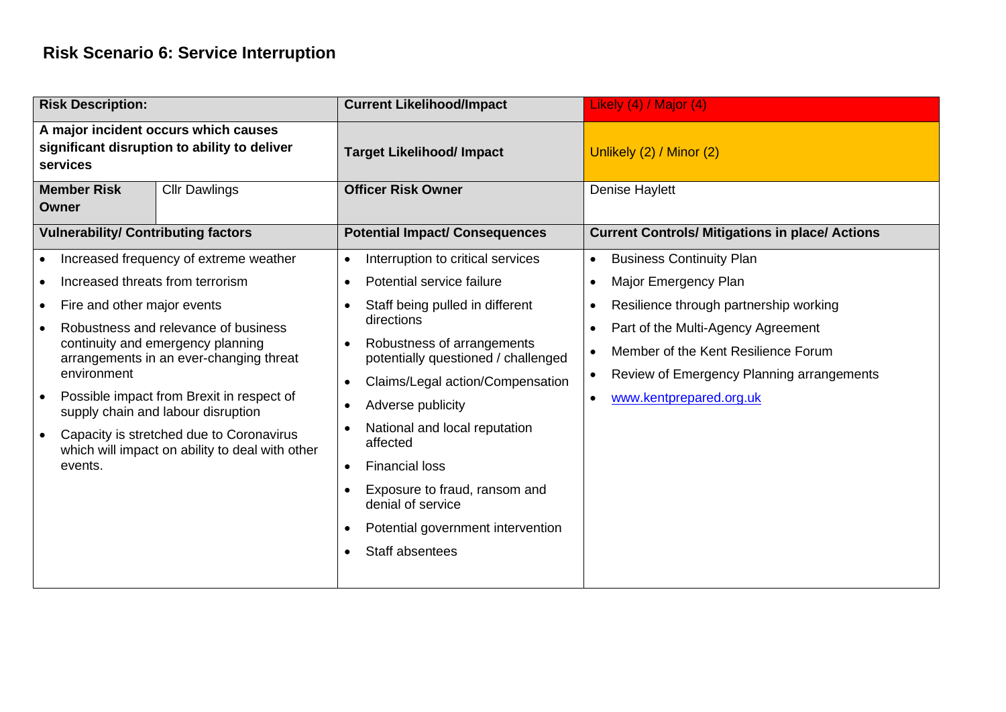#### **Risk Scenario 6: Service Interruption**

| <b>Risk Description:</b>                                                                                                                                                                                                                                                                                                                                                                                                                                                             | <b>Current Likelihood/Impact</b>                                                                                                                                                                                                                                                                                                                                                                                                                                                      | Likely (4) / Major (4)                                                                                                                                                                                                                                                                                                                    |
|--------------------------------------------------------------------------------------------------------------------------------------------------------------------------------------------------------------------------------------------------------------------------------------------------------------------------------------------------------------------------------------------------------------------------------------------------------------------------------------|---------------------------------------------------------------------------------------------------------------------------------------------------------------------------------------------------------------------------------------------------------------------------------------------------------------------------------------------------------------------------------------------------------------------------------------------------------------------------------------|-------------------------------------------------------------------------------------------------------------------------------------------------------------------------------------------------------------------------------------------------------------------------------------------------------------------------------------------|
| A major incident occurs which causes<br>significant disruption to ability to deliver<br>services                                                                                                                                                                                                                                                                                                                                                                                     | <b>Target Likelihood/ Impact</b>                                                                                                                                                                                                                                                                                                                                                                                                                                                      | Unlikely (2) / Minor (2)                                                                                                                                                                                                                                                                                                                  |
| <b>Member Risk</b><br><b>Cllr Dawlings</b><br>Owner                                                                                                                                                                                                                                                                                                                                                                                                                                  | <b>Officer Risk Owner</b>                                                                                                                                                                                                                                                                                                                                                                                                                                                             | <b>Denise Haylett</b>                                                                                                                                                                                                                                                                                                                     |
| <b>Vulnerability/ Contributing factors</b>                                                                                                                                                                                                                                                                                                                                                                                                                                           | <b>Potential Impact/ Consequences</b>                                                                                                                                                                                                                                                                                                                                                                                                                                                 | <b>Current Controls/ Mitigations in place/ Actions</b>                                                                                                                                                                                                                                                                                    |
| Increased frequency of extreme weather<br>$\bullet$<br>Increased threats from terrorism<br>Fire and other major events<br>$\bullet$<br>Robustness and relevance of business<br>continuity and emergency planning<br>arrangements in an ever-changing threat<br>environment<br>Possible impact from Brexit in respect of<br>supply chain and labour disruption<br>Capacity is stretched due to Coronavirus<br>$\bullet$<br>which will impact on ability to deal with other<br>events. | Interruption to critical services<br>Potential service failure<br>Staff being pulled in different<br>directions<br>Robustness of arrangements<br>$\bullet$<br>potentially questioned / challenged<br>Claims/Legal action/Compensation<br>$\bullet$<br>Adverse publicity<br>$\bullet$<br>National and local reputation<br>affected<br><b>Financial loss</b><br>$\bullet$<br>Exposure to fraud, ransom and<br>denial of service<br>Potential government intervention<br>Staff absentees | <b>Business Continuity Plan</b><br>$\bullet$<br>Major Emergency Plan<br>$\bullet$<br>Resilience through partnership working<br>٠<br>Part of the Multi-Agency Agreement<br>$\bullet$<br>Member of the Kent Resilience Forum<br>$\bullet$<br>Review of Emergency Planning arrangements<br>$\bullet$<br>www.kentprepared.org.uk<br>$\bullet$ |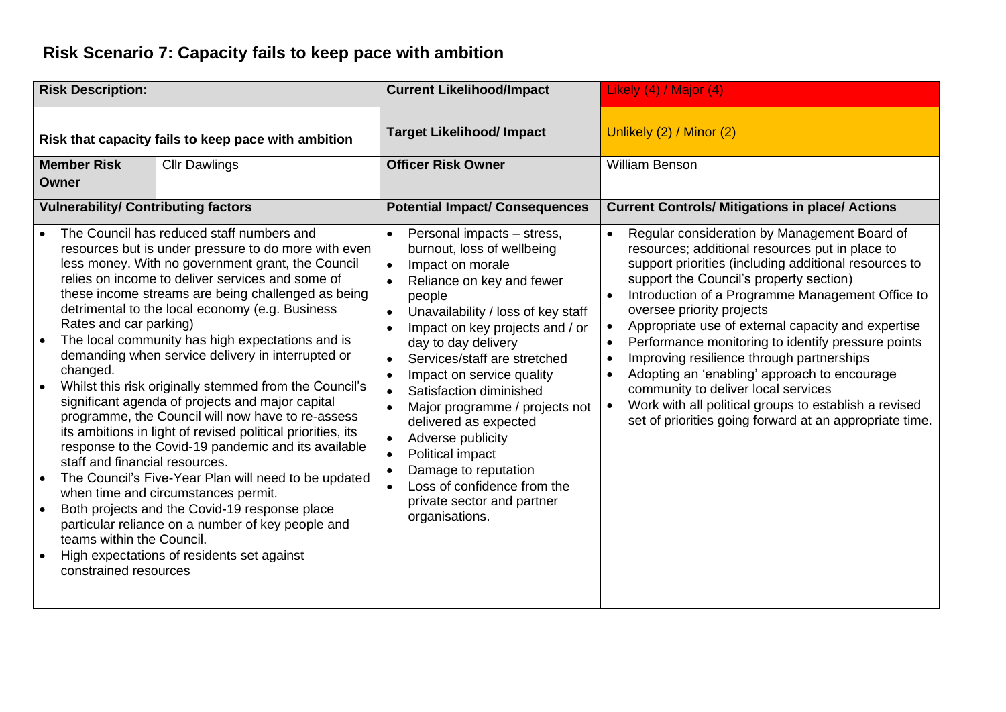### **Risk Scenario 7: Capacity fails to keep pace with ambition**

| <b>Risk Description:</b>                                                                                                                                                                                                                                                  |                                                                                                                                                                                                                                                                                                                                                                                                                                                                                                                                                                                                                                                                                                                                                                                                                                        | <b>Current Likelihood/Impact</b>                                                                                                                                                                                                                                                                                                                                                                                                                                                                                                                                                                     | Likely (4) / Major (4)                                                                                                                                                                                                                                                                                                                                                                                                                                                                                                                                                                                                                                                             |
|---------------------------------------------------------------------------------------------------------------------------------------------------------------------------------------------------------------------------------------------------------------------------|----------------------------------------------------------------------------------------------------------------------------------------------------------------------------------------------------------------------------------------------------------------------------------------------------------------------------------------------------------------------------------------------------------------------------------------------------------------------------------------------------------------------------------------------------------------------------------------------------------------------------------------------------------------------------------------------------------------------------------------------------------------------------------------------------------------------------------------|------------------------------------------------------------------------------------------------------------------------------------------------------------------------------------------------------------------------------------------------------------------------------------------------------------------------------------------------------------------------------------------------------------------------------------------------------------------------------------------------------------------------------------------------------------------------------------------------------|------------------------------------------------------------------------------------------------------------------------------------------------------------------------------------------------------------------------------------------------------------------------------------------------------------------------------------------------------------------------------------------------------------------------------------------------------------------------------------------------------------------------------------------------------------------------------------------------------------------------------------------------------------------------------------|
|                                                                                                                                                                                                                                                                           | Risk that capacity fails to keep pace with ambition                                                                                                                                                                                                                                                                                                                                                                                                                                                                                                                                                                                                                                                                                                                                                                                    | <b>Target Likelihood/ Impact</b>                                                                                                                                                                                                                                                                                                                                                                                                                                                                                                                                                                     | Unlikely (2) / Minor (2)                                                                                                                                                                                                                                                                                                                                                                                                                                                                                                                                                                                                                                                           |
| <b>Member Risk</b><br>Owner                                                                                                                                                                                                                                               | <b>Cllr Dawlings</b>                                                                                                                                                                                                                                                                                                                                                                                                                                                                                                                                                                                                                                                                                                                                                                                                                   | <b>Officer Risk Owner</b>                                                                                                                                                                                                                                                                                                                                                                                                                                                                                                                                                                            | <b>William Benson</b>                                                                                                                                                                                                                                                                                                                                                                                                                                                                                                                                                                                                                                                              |
| <b>Vulnerability/ Contributing factors</b>                                                                                                                                                                                                                                |                                                                                                                                                                                                                                                                                                                                                                                                                                                                                                                                                                                                                                                                                                                                                                                                                                        | <b>Potential Impact/ Consequences</b>                                                                                                                                                                                                                                                                                                                                                                                                                                                                                                                                                                | <b>Current Controls/ Mitigations in place/ Actions</b>                                                                                                                                                                                                                                                                                                                                                                                                                                                                                                                                                                                                                             |
| The Council has reduced staff numbers and<br>Rates and car parking)<br>changed.<br>staff and financial resources.<br>when time and circumstances permit.<br>$\bullet$<br>teams within the Council.<br>High expectations of residents set against<br>constrained resources | resources but is under pressure to do more with even<br>less money. With no government grant, the Council<br>relies on income to deliver services and some of<br>these income streams are being challenged as being<br>detrimental to the local economy (e.g. Business<br>The local community has high expectations and is<br>demanding when service delivery in interrupted or<br>Whilst this risk originally stemmed from the Council's<br>significant agenda of projects and major capital<br>programme, the Council will now have to re-assess<br>its ambitions in light of revised political priorities, its<br>response to the Covid-19 pandemic and its available<br>The Council's Five-Year Plan will need to be updated<br>Both projects and the Covid-19 response place<br>particular reliance on a number of key people and | Personal impacts - stress,<br>$\bullet$<br>burnout, loss of wellbeing<br>Impact on morale<br>$\bullet$<br>Reliance on key and fewer<br>people<br>Unavailability / loss of key staff<br>$\bullet$<br>Impact on key projects and / or<br>day to day delivery<br>Services/staff are stretched<br>$\bullet$<br>Impact on service quality<br>$\bullet$<br>Satisfaction diminished<br>Major programme / projects not<br>delivered as expected<br>Adverse publicity<br>$\bullet$<br>Political impact<br>Damage to reputation<br>Loss of confidence from the<br>private sector and partner<br>organisations. | Regular consideration by Management Board of<br>resources; additional resources put in place to<br>support priorities (including additional resources to<br>support the Council's property section)<br>Introduction of a Programme Management Office to<br>oversee priority projects<br>Appropriate use of external capacity and expertise<br>Performance monitoring to identify pressure points<br>Improving resilience through partnerships<br>$\bullet$<br>Adopting an 'enabling' approach to encourage<br>$\bullet$<br>community to deliver local services<br>Work with all political groups to establish a revised<br>set of priorities going forward at an appropriate time. |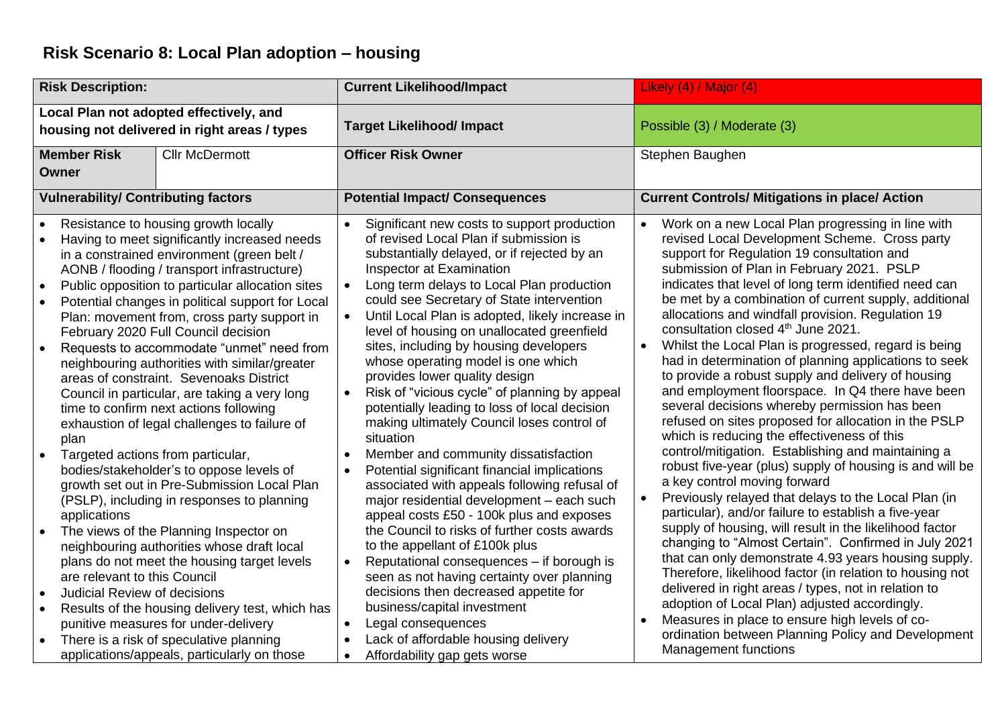### **Risk Scenario 8: Local Plan adoption – housing**

|                                                  | <b>Risk Description:</b>                                                                  |                                                                                                                                                                                                                                                                                                                                                                                                                                                                                                                                                                                                                                                                                                                                                                                                                                                                                                                                                     | <b>Current Likelihood/Impact</b>                                                                                                                                                                                                                                                                                                                                                                                                                                                                                                                                                                                                                                                                                                                                                                                                                                                                                                                                                                                                                                                  | Likely (4) / Major (4)                                                                                                                                                                                                                                                                                                                                                                                                                                                                                                                                                                                                                                                                                                                                                                                                                                                                                                                                                                                                                                                                                                                                                                                                                                                                                                                       |
|--------------------------------------------------|-------------------------------------------------------------------------------------------|-----------------------------------------------------------------------------------------------------------------------------------------------------------------------------------------------------------------------------------------------------------------------------------------------------------------------------------------------------------------------------------------------------------------------------------------------------------------------------------------------------------------------------------------------------------------------------------------------------------------------------------------------------------------------------------------------------------------------------------------------------------------------------------------------------------------------------------------------------------------------------------------------------------------------------------------------------|-----------------------------------------------------------------------------------------------------------------------------------------------------------------------------------------------------------------------------------------------------------------------------------------------------------------------------------------------------------------------------------------------------------------------------------------------------------------------------------------------------------------------------------------------------------------------------------------------------------------------------------------------------------------------------------------------------------------------------------------------------------------------------------------------------------------------------------------------------------------------------------------------------------------------------------------------------------------------------------------------------------------------------------------------------------------------------------|----------------------------------------------------------------------------------------------------------------------------------------------------------------------------------------------------------------------------------------------------------------------------------------------------------------------------------------------------------------------------------------------------------------------------------------------------------------------------------------------------------------------------------------------------------------------------------------------------------------------------------------------------------------------------------------------------------------------------------------------------------------------------------------------------------------------------------------------------------------------------------------------------------------------------------------------------------------------------------------------------------------------------------------------------------------------------------------------------------------------------------------------------------------------------------------------------------------------------------------------------------------------------------------------------------------------------------------------|
|                                                  |                                                                                           | Local Plan not adopted effectively, and<br>housing not delivered in right areas / types                                                                                                                                                                                                                                                                                                                                                                                                                                                                                                                                                                                                                                                                                                                                                                                                                                                             | <b>Target Likelihood/ Impact</b>                                                                                                                                                                                                                                                                                                                                                                                                                                                                                                                                                                                                                                                                                                                                                                                                                                                                                                                                                                                                                                                  | Possible (3) / Moderate (3)                                                                                                                                                                                                                                                                                                                                                                                                                                                                                                                                                                                                                                                                                                                                                                                                                                                                                                                                                                                                                                                                                                                                                                                                                                                                                                                  |
|                                                  | <b>Member Risk</b><br><b>Owner</b>                                                        | <b>Cllr McDermott</b>                                                                                                                                                                                                                                                                                                                                                                                                                                                                                                                                                                                                                                                                                                                                                                                                                                                                                                                               | <b>Officer Risk Owner</b>                                                                                                                                                                                                                                                                                                                                                                                                                                                                                                                                                                                                                                                                                                                                                                                                                                                                                                                                                                                                                                                         | Stephen Baughen                                                                                                                                                                                                                                                                                                                                                                                                                                                                                                                                                                                                                                                                                                                                                                                                                                                                                                                                                                                                                                                                                                                                                                                                                                                                                                                              |
|                                                  | <b>Vulnerability/ Contributing factors</b>                                                |                                                                                                                                                                                                                                                                                                                                                                                                                                                                                                                                                                                                                                                                                                                                                                                                                                                                                                                                                     | <b>Potential Impact/ Consequences</b>                                                                                                                                                                                                                                                                                                                                                                                                                                                                                                                                                                                                                                                                                                                                                                                                                                                                                                                                                                                                                                             | <b>Current Controls/ Mitigations in place/ Action</b>                                                                                                                                                                                                                                                                                                                                                                                                                                                                                                                                                                                                                                                                                                                                                                                                                                                                                                                                                                                                                                                                                                                                                                                                                                                                                        |
| $\bullet$<br>$\bullet$<br>$\bullet$<br>$\bullet$ | plan<br>Targeted actions from particular,<br>applications<br>are relevant to this Council | Resistance to housing growth locally<br>Having to meet significantly increased needs<br>in a constrained environment (green belt /<br>AONB / flooding / transport infrastructure)<br>Public opposition to particular allocation sites<br>Potential changes in political support for Local<br>Plan: movement from, cross party support in<br>February 2020 Full Council decision<br>Requests to accommodate "unmet" need from<br>neighbouring authorities with similar/greater<br>areas of constraint. Sevenoaks District<br>Council in particular, are taking a very long<br>time to confirm next actions following<br>exhaustion of legal challenges to failure of<br>bodies/stakeholder's to oppose levels of<br>growth set out in Pre-Submission Local Plan<br>(PSLP), including in responses to planning<br>The views of the Planning Inspector on<br>neighbouring authorities whose draft local<br>plans do not meet the housing target levels | Significant new costs to support production<br>of revised Local Plan if submission is<br>substantially delayed, or if rejected by an<br>Inspector at Examination<br>Long term delays to Local Plan production<br>$\bullet$<br>could see Secretary of State intervention<br>Until Local Plan is adopted, likely increase in<br>level of housing on unallocated greenfield<br>sites, including by housing developers<br>whose operating model is one which<br>provides lower quality design<br>Risk of "vicious cycle" of planning by appeal<br>$\bullet$<br>potentially leading to loss of local decision<br>making ultimately Council loses control of<br>situation<br>Member and community dissatisfaction<br>Potential significant financial implications<br>associated with appeals following refusal of<br>major residential development - each such<br>appeal costs £50 - 100k plus and exposes<br>the Council to risks of further costs awards<br>to the appellant of £100k plus<br>Reputational consequences - if borough is<br>seen as not having certainty over planning | Work on a new Local Plan progressing in line with<br>revised Local Development Scheme. Cross party<br>support for Regulation 19 consultation and<br>submission of Plan in February 2021. PSLP<br>indicates that level of long term identified need can<br>be met by a combination of current supply, additional<br>allocations and windfall provision. Regulation 19<br>consultation closed 4 <sup>th</sup> June 2021.<br>Whilst the Local Plan is progressed, regard is being<br>$\bullet$<br>had in determination of planning applications to seek<br>to provide a robust supply and delivery of housing<br>and employment floorspace. In Q4 there have been<br>several decisions whereby permission has been<br>refused on sites proposed for allocation in the PSLP<br>which is reducing the effectiveness of this<br>control/mitigation. Establishing and maintaining a<br>robust five-year (plus) supply of housing is and will be<br>a key control moving forward<br>Previously relayed that delays to the Local Plan (in<br>$\bullet$<br>particular), and/or failure to establish a five-year<br>supply of housing, will result in the likelihood factor<br>changing to "Almost Certain". Confirmed in July 2021<br>that can only demonstrate 4.93 years housing supply.<br>Therefore, likelihood factor (in relation to housing not |
| $\bullet$<br>$\bullet$                           | <b>Judicial Review of decisions</b>                                                       | Results of the housing delivery test, which has<br>punitive measures for under-delivery<br>There is a risk of speculative planning<br>applications/appeals, particularly on those                                                                                                                                                                                                                                                                                                                                                                                                                                                                                                                                                                                                                                                                                                                                                                   | decisions then decreased appetite for<br>business/capital investment<br>Legal consequences<br>Lack of affordable housing delivery<br>Affordability gap gets worse                                                                                                                                                                                                                                                                                                                                                                                                                                                                                                                                                                                                                                                                                                                                                                                                                                                                                                                 | delivered in right areas / types, not in relation to<br>adoption of Local Plan) adjusted accordingly.<br>Measures in place to ensure high levels of co-<br>$\bullet$<br>ordination between Planning Policy and Development<br><b>Management functions</b>                                                                                                                                                                                                                                                                                                                                                                                                                                                                                                                                                                                                                                                                                                                                                                                                                                                                                                                                                                                                                                                                                    |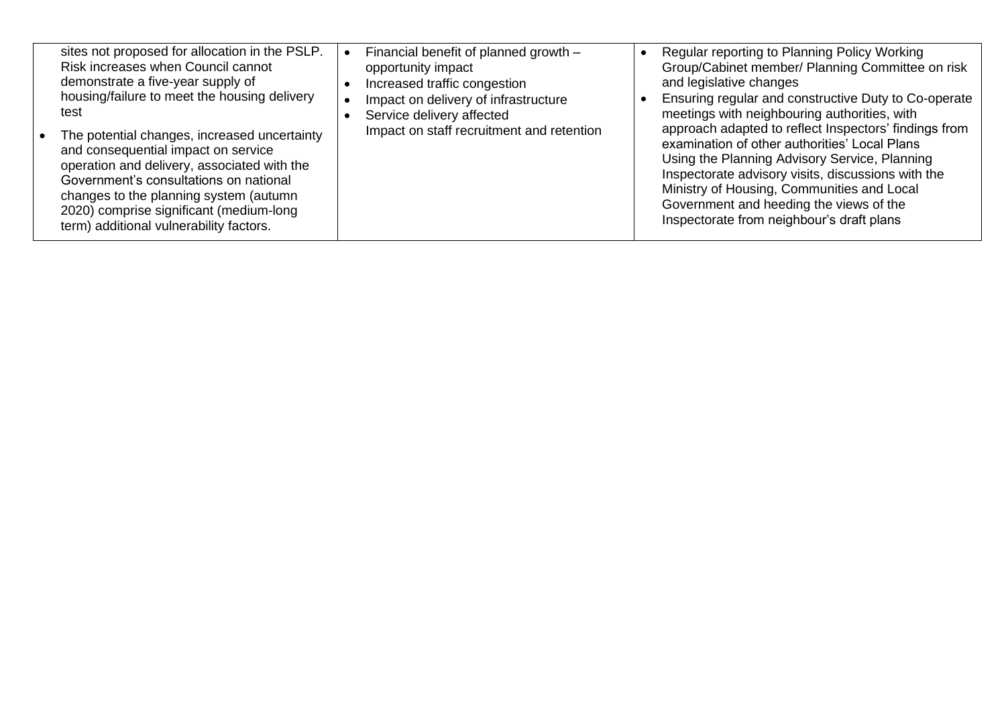| sites not proposed for allocation in the PSLP. | Financial benefit of planned growth -     | Regular reporting to Planning Policy Working          |
|------------------------------------------------|-------------------------------------------|-------------------------------------------------------|
| Risk increases when Council cannot             | opportunity impact                        | Group/Cabinet member/ Planning Committee on risk      |
| demonstrate a five-year supply of              | Increased traffic congestion              | and legislative changes                               |
| housing/failure to meet the housing delivery   | Impact on delivery of infrastructure      | Ensuring regular and constructive Duty to Co-operate  |
| test                                           | Service delivery affected                 | meetings with neighbouring authorities, with          |
| The potential changes, increased uncertainty   | Impact on staff recruitment and retention | approach adapted to reflect Inspectors' findings from |
| and consequential impact on service            |                                           | examination of other authorities' Local Plans         |
| operation and delivery, associated with the    |                                           | Using the Planning Advisory Service, Planning         |
| Government's consultations on national         |                                           | Inspectorate advisory visits, discussions with the    |
|                                                |                                           | Ministry of Housing, Communities and Local            |
| changes to the planning system (autumn         |                                           | Government and heeding the views of the               |
| 2020) comprise significant (medium-long        |                                           | Inspectorate from neighbour's draft plans             |
| term) additional vulnerability factors.        |                                           |                                                       |
|                                                |                                           |                                                       |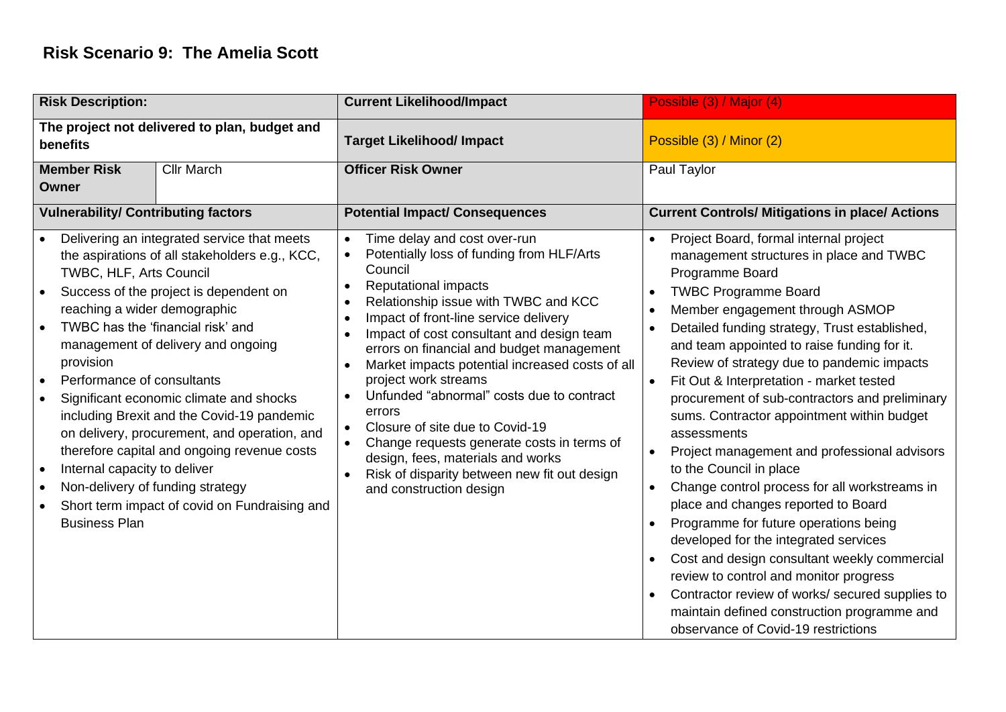#### **Risk Scenario 9: The Amelia Scott**

| <b>Risk Description:</b>                                                                                                                                                                                                              |                                                                                                                                                                                                                                                                                                                                                                                                                                                             | <b>Current Likelihood/Impact</b>                                                                                                                                                                                                                                                                                                                                                                                                                                                                                                                                                                                                                                                      | Possible (3) / Major (4)                                                                                                                                                                                                                                                                                                                                                                                                                                                                                                                                                                                                                                                                                                                                                                                                                                                                                                                                                             |
|---------------------------------------------------------------------------------------------------------------------------------------------------------------------------------------------------------------------------------------|-------------------------------------------------------------------------------------------------------------------------------------------------------------------------------------------------------------------------------------------------------------------------------------------------------------------------------------------------------------------------------------------------------------------------------------------------------------|---------------------------------------------------------------------------------------------------------------------------------------------------------------------------------------------------------------------------------------------------------------------------------------------------------------------------------------------------------------------------------------------------------------------------------------------------------------------------------------------------------------------------------------------------------------------------------------------------------------------------------------------------------------------------------------|--------------------------------------------------------------------------------------------------------------------------------------------------------------------------------------------------------------------------------------------------------------------------------------------------------------------------------------------------------------------------------------------------------------------------------------------------------------------------------------------------------------------------------------------------------------------------------------------------------------------------------------------------------------------------------------------------------------------------------------------------------------------------------------------------------------------------------------------------------------------------------------------------------------------------------------------------------------------------------------|
| The project not delivered to plan, budget and<br>benefits                                                                                                                                                                             |                                                                                                                                                                                                                                                                                                                                                                                                                                                             | <b>Target Likelihood/ Impact</b>                                                                                                                                                                                                                                                                                                                                                                                                                                                                                                                                                                                                                                                      | Possible (3) / Minor (2)                                                                                                                                                                                                                                                                                                                                                                                                                                                                                                                                                                                                                                                                                                                                                                                                                                                                                                                                                             |
| <b>Member Risk</b><br><b>Owner</b>                                                                                                                                                                                                    | <b>Cllr March</b>                                                                                                                                                                                                                                                                                                                                                                                                                                           | <b>Officer Risk Owner</b>                                                                                                                                                                                                                                                                                                                                                                                                                                                                                                                                                                                                                                                             | Paul Taylor                                                                                                                                                                                                                                                                                                                                                                                                                                                                                                                                                                                                                                                                                                                                                                                                                                                                                                                                                                          |
| <b>Vulnerability/ Contributing factors</b>                                                                                                                                                                                            |                                                                                                                                                                                                                                                                                                                                                                                                                                                             | <b>Potential Impact/ Consequences</b>                                                                                                                                                                                                                                                                                                                                                                                                                                                                                                                                                                                                                                                 | <b>Current Controls/ Mitigations in place/ Actions</b>                                                                                                                                                                                                                                                                                                                                                                                                                                                                                                                                                                                                                                                                                                                                                                                                                                                                                                                               |
| TWBC, HLF, Arts Council<br>$\bullet$<br>reaching a wider demographic<br>provision<br>Performance of consultants<br>$\bullet$<br>Internal capacity to deliver<br>$\bullet$<br>Non-delivery of funding strategy<br><b>Business Plan</b> | Delivering an integrated service that meets<br>the aspirations of all stakeholders e.g., KCC,<br>Success of the project is dependent on<br>TWBC has the 'financial risk' and<br>management of delivery and ongoing<br>Significant economic climate and shocks<br>including Brexit and the Covid-19 pandemic<br>on delivery, procurement, and operation, and<br>therefore capital and ongoing revenue costs<br>Short term impact of covid on Fundraising and | Time delay and cost over-run<br>$\bullet$<br>Potentially loss of funding from HLF/Arts<br>Council<br><b>Reputational impacts</b><br>$\bullet$<br>Relationship issue with TWBC and KCC<br>Impact of front-line service delivery<br>Impact of cost consultant and design team<br>errors on financial and budget management<br>Market impacts potential increased costs of all<br>$\bullet$<br>project work streams<br>Unfunded "abnormal" costs due to contract<br>errors<br>Closure of site due to Covid-19<br>Change requests generate costs in terms of<br>design, fees, materials and works<br>Risk of disparity between new fit out design<br>$\bullet$<br>and construction design | Project Board, formal internal project<br>management structures in place and TWBC<br>Programme Board<br><b>TWBC Programme Board</b><br>Member engagement through ASMOP<br>Detailed funding strategy, Trust established,<br>and team appointed to raise funding for it.<br>Review of strategy due to pandemic impacts<br>Fit Out & Interpretation - market tested<br>$\bullet$<br>procurement of sub-contractors and preliminary<br>sums. Contractor appointment within budget<br>assessments<br>Project management and professional advisors<br>to the Council in place<br>Change control process for all workstreams in<br>place and changes reported to Board<br>Programme for future operations being<br>developed for the integrated services<br>Cost and design consultant weekly commercial<br>review to control and monitor progress<br>Contractor review of works/ secured supplies to<br>maintain defined construction programme and<br>observance of Covid-19 restrictions |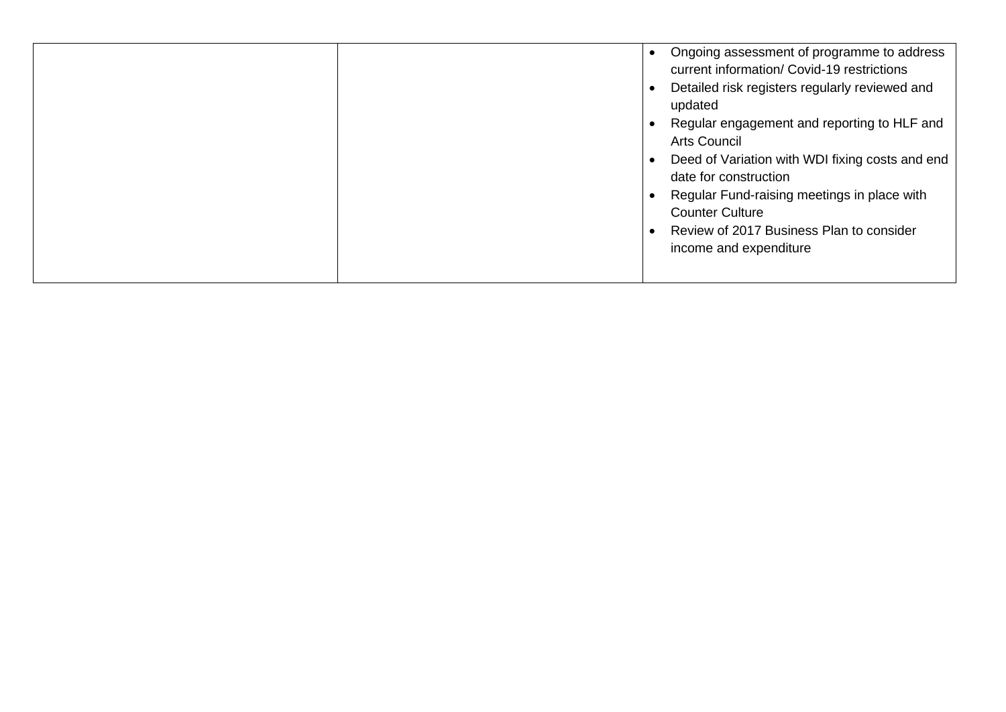|  | Ongoing assessment of programme to address<br>current information/ Covid-19 restrictions<br>Detailed risk registers regularly reviewed and<br>updated<br>Regular engagement and reporting to HLF and<br><b>Arts Council</b><br>Deed of Variation with WDI fixing costs and end<br>date for construction<br>Regular Fund-raising meetings in place with<br><b>Counter Culture</b><br>Review of 2017 Business Plan to consider<br>income and expenditure |  |
|--|--------------------------------------------------------------------------------------------------------------------------------------------------------------------------------------------------------------------------------------------------------------------------------------------------------------------------------------------------------------------------------------------------------------------------------------------------------|--|
|--|--------------------------------------------------------------------------------------------------------------------------------------------------------------------------------------------------------------------------------------------------------------------------------------------------------------------------------------------------------------------------------------------------------------------------------------------------------|--|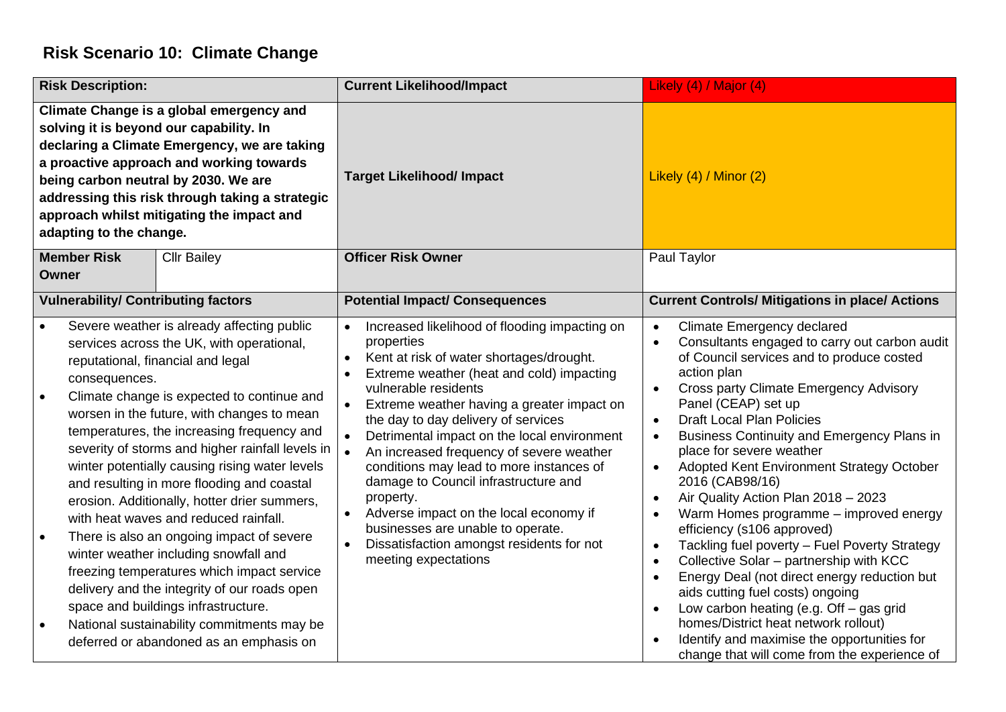#### **Risk Scenario 10: Climate Change**

| <b>Risk Description:</b>                                                                                                                                                                                                                                                                                                                                                                                                                                                                                                                                                                                                                                                                                                                                                                                                                                              | <b>Current Likelihood/Impact</b>                                                                                                                                                                                                                                                                                                                                                                                                                                                                                                                                                                                  | Likely (4) / Major (4)                                                                                                                                                                                                                                                                                                                                                                                                                                                                                                                                                                                                                                                                                                                                                                                                                                                                                                                                                                                                                              |
|-----------------------------------------------------------------------------------------------------------------------------------------------------------------------------------------------------------------------------------------------------------------------------------------------------------------------------------------------------------------------------------------------------------------------------------------------------------------------------------------------------------------------------------------------------------------------------------------------------------------------------------------------------------------------------------------------------------------------------------------------------------------------------------------------------------------------------------------------------------------------|-------------------------------------------------------------------------------------------------------------------------------------------------------------------------------------------------------------------------------------------------------------------------------------------------------------------------------------------------------------------------------------------------------------------------------------------------------------------------------------------------------------------------------------------------------------------------------------------------------------------|-----------------------------------------------------------------------------------------------------------------------------------------------------------------------------------------------------------------------------------------------------------------------------------------------------------------------------------------------------------------------------------------------------------------------------------------------------------------------------------------------------------------------------------------------------------------------------------------------------------------------------------------------------------------------------------------------------------------------------------------------------------------------------------------------------------------------------------------------------------------------------------------------------------------------------------------------------------------------------------------------------------------------------------------------------|
| Climate Change is a global emergency and<br>solving it is beyond our capability. In<br>declaring a Climate Emergency, we are taking<br>a proactive approach and working towards<br>being carbon neutral by 2030. We are<br>addressing this risk through taking a strategic<br>approach whilst mitigating the impact and<br>adapting to the change.                                                                                                                                                                                                                                                                                                                                                                                                                                                                                                                    | <b>Target Likelihood/ Impact</b>                                                                                                                                                                                                                                                                                                                                                                                                                                                                                                                                                                                  | Likely $(4)$ / Minor $(2)$                                                                                                                                                                                                                                                                                                                                                                                                                                                                                                                                                                                                                                                                                                                                                                                                                                                                                                                                                                                                                          |
| <b>Member Risk</b><br><b>Cllr Bailey</b><br>Owner                                                                                                                                                                                                                                                                                                                                                                                                                                                                                                                                                                                                                                                                                                                                                                                                                     | <b>Officer Risk Owner</b>                                                                                                                                                                                                                                                                                                                                                                                                                                                                                                                                                                                         | Paul Taylor                                                                                                                                                                                                                                                                                                                                                                                                                                                                                                                                                                                                                                                                                                                                                                                                                                                                                                                                                                                                                                         |
| <b>Vulnerability/ Contributing factors</b>                                                                                                                                                                                                                                                                                                                                                                                                                                                                                                                                                                                                                                                                                                                                                                                                                            | <b>Potential Impact/ Consequences</b>                                                                                                                                                                                                                                                                                                                                                                                                                                                                                                                                                                             | <b>Current Controls/ Mitigations in place/ Actions</b>                                                                                                                                                                                                                                                                                                                                                                                                                                                                                                                                                                                                                                                                                                                                                                                                                                                                                                                                                                                              |
| Severe weather is already affecting public<br>services across the UK, with operational,<br>reputational, financial and legal<br>consequences.<br>Climate change is expected to continue and<br>worsen in the future, with changes to mean<br>temperatures, the increasing frequency and<br>severity of storms and higher rainfall levels in<br>winter potentially causing rising water levels<br>and resulting in more flooding and coastal<br>erosion. Additionally, hotter drier summers,<br>with heat waves and reduced rainfall.<br>There is also an ongoing impact of severe<br>winter weather including snowfall and<br>freezing temperatures which impact service<br>delivery and the integrity of our roads open<br>space and buildings infrastructure.<br>National sustainability commitments may be<br>$\bullet$<br>deferred or abandoned as an emphasis on | Increased likelihood of flooding impacting on<br>properties<br>Kent at risk of water shortages/drought.<br>Extreme weather (heat and cold) impacting<br>vulnerable residents<br>Extreme weather having a greater impact on<br>the day to day delivery of services<br>Detrimental impact on the local environment<br>An increased frequency of severe weather<br>conditions may lead to more instances of<br>damage to Council infrastructure and<br>property.<br>Adverse impact on the local economy if<br>businesses are unable to operate.<br>Dissatisfaction amongst residents for not<br>meeting expectations | <b>Climate Emergency declared</b><br>$\bullet$<br>Consultants engaged to carry out carbon audit<br>$\bullet$<br>of Council services and to produce costed<br>action plan<br><b>Cross party Climate Emergency Advisory</b><br>$\bullet$<br>Panel (CEAP) set up<br><b>Draft Local Plan Policies</b><br>$\bullet$<br>Business Continuity and Emergency Plans in<br>$\bullet$<br>place for severe weather<br>Adopted Kent Environment Strategy October<br>$\bullet$<br>2016 (CAB98/16)<br>Air Quality Action Plan 2018 - 2023<br>$\bullet$<br>Warm Homes programme - improved energy<br>$\bullet$<br>efficiency (s106 approved)<br>Tackling fuel poverty - Fuel Poverty Strategy<br>$\bullet$<br>Collective Solar - partnership with KCC<br>$\bullet$<br>Energy Deal (not direct energy reduction but<br>$\bullet$<br>aids cutting fuel costs) ongoing<br>Low carbon heating (e.g. $Off - gas$ grid<br>$\bullet$<br>homes/District heat network rollout)<br>Identify and maximise the opportunities for<br>change that will come from the experience of |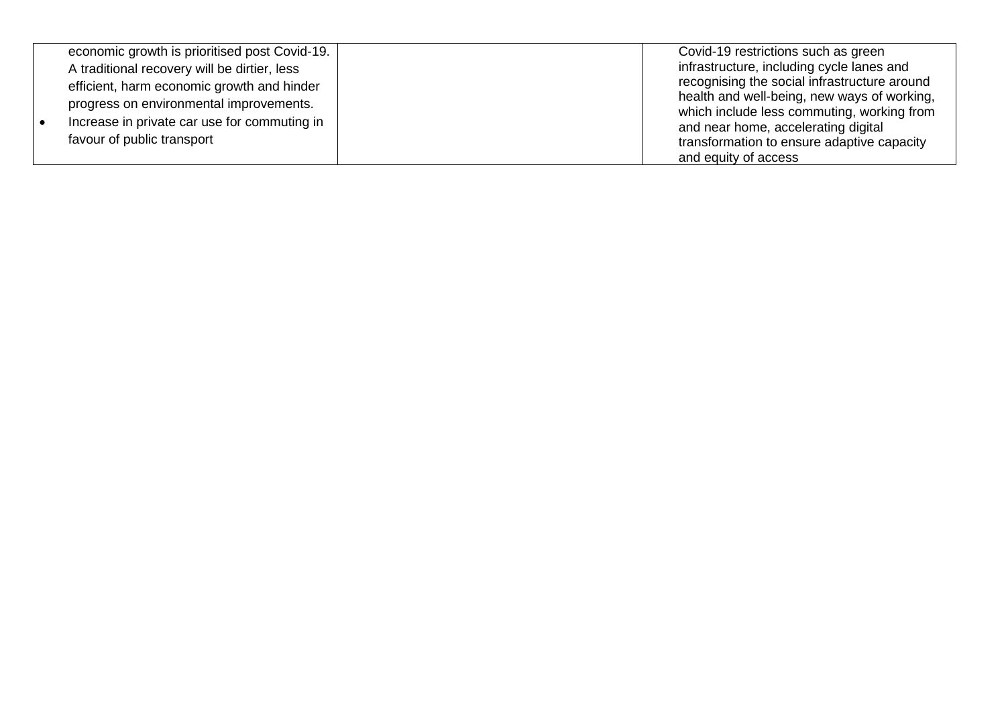|  | economic growth is prioritised post Covid-19. | Covid-19 restrictions such as green                                                         |
|--|-----------------------------------------------|---------------------------------------------------------------------------------------------|
|  | A traditional recovery will be dirtier, less  | infrastructure, including cycle lanes and                                                   |
|  | efficient, harm economic growth and hinder    | recognising the social infrastructure around<br>health and well-being, new ways of working, |
|  | progress on environmental improvements.       | which include less commuting, working from                                                  |
|  | Increase in private car use for commuting in  | and near home, accelerating digital                                                         |
|  | favour of public transport                    | transformation to ensure adaptive capacity                                                  |
|  |                                               | and equity of access                                                                        |